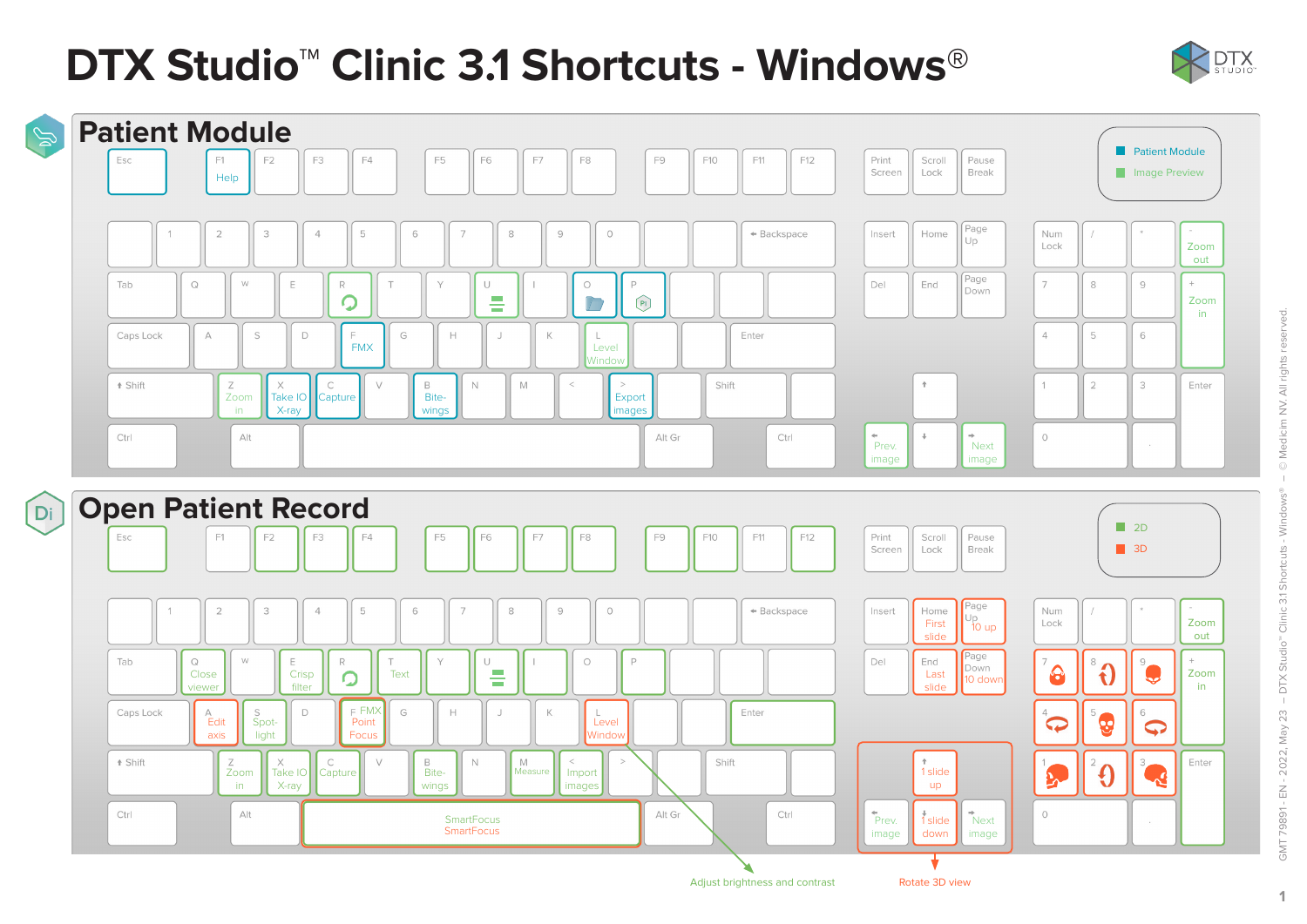# **DTX Studio™ Clinic 3.1 Shortcuts - Windows**®





 $\mathbf{1}$